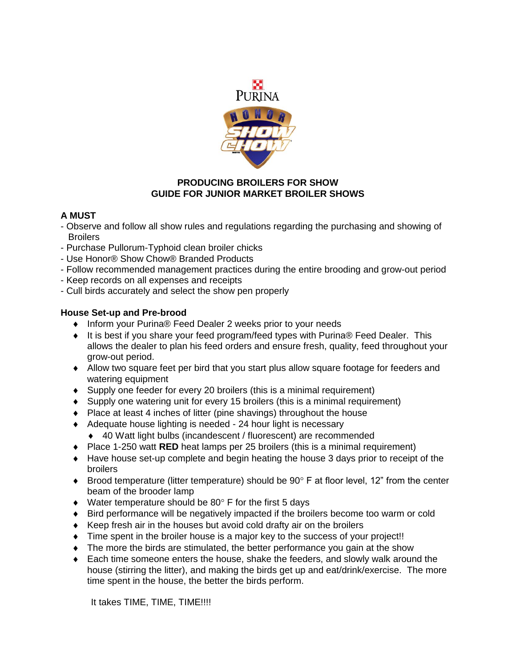

### **PRODUCING BROILERS FOR SHOW GUIDE FOR JUNIOR MARKET BROILER SHOWS**

# **A MUST**

- Observe and follow all show rules and regulations regarding the purchasing and showing of **Broilers**
- Purchase Pullorum-Typhoid clean broiler chicks
- Use Honor® Show Chow® Branded Products
- Follow recommended management practices during the entire brooding and grow-out period
- Keep records on all expenses and receipts
- Cull birds accurately and select the show pen properly

# **House Set-up and Pre-brood**

- ◆ Inform your Purina® Feed Dealer 2 weeks prior to your needs
- ◆ It is best if you share your feed program/feed types with Purina® Feed Dealer. This allows the dealer to plan his feed orders and ensure fresh, quality, feed throughout your grow-out period.
- Allow two square feet per bird that you start plus allow square footage for feeders and watering equipment
- Supply one feeder for every 20 broilers (this is a minimal requirement)
- Supply one watering unit for every 15 broilers (this is a minimal requirement)
- Place at least 4 inches of litter (pine shavings) throughout the house
- ◆ Adequate house lighting is needed 24 hour light is necessary
	- 40 Watt light bulbs (incandescent / fluorescent) are recommended
- ◆ Place 1-250 watt **RED** heat lamps per 25 broilers (this is a minimal requirement)
- Have house set-up complete and begin heating the house 3 days prior to receipt of the broilers
- $\bullet$  Brood temperature (litter temperature) should be 90 $\degree$  F at floor level, 12" from the center beam of the brooder lamp
- $\bullet$  Water temperature should be 80 $\degree$  F for the first 5 days
- Bird performance will be negatively impacted if the broilers become too warm or cold
- Keep fresh air in the houses but avoid cold drafty air on the broilers
- Time spent in the broiler house is a major key to the success of your project!!
- The more the birds are stimulated, the better performance you gain at the show
- Each time someone enters the house, shake the feeders, and slowly walk around the house (stirring the litter), and making the birds get up and eat/drink/exercise. The more time spent in the house, the better the birds perform.

It takes TIME, TIME, TIME!!!!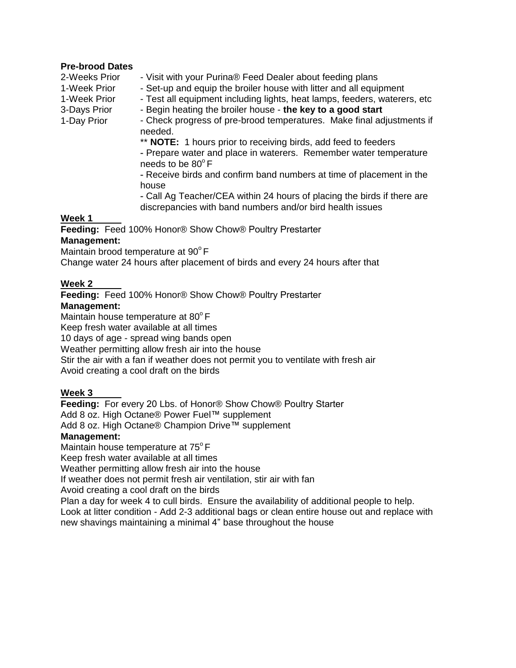#### **Pre-brood Dates**

2-Weeks Prior

- 1-Week Prior
- 1-Week Prior 3-Days Prior

1-Day Prior

- Visit with your Purina® Feed Dealer about feeding plans
- Set-up and equip the broiler house with litter and all equipment
- Test all equipment including lights, heat lamps, feeders, waterers, etc
- Begin heating the broiler house **the key to a good start**

- Check progress of pre-brood temperatures. Make final adjustments if needed.

\*\* **NOTE:** 1 hours prior to receiving birds, add feed to feeders - Prepare water and place in waterers. Remember water temperature needs to be  $80^{\circ}$  F

- Receive birds and confirm band numbers at time of placement in the house

- Call Ag Teacher/CEA within 24 hours of placing the birds if there are discrepancies with band numbers and/or bird health issues

## **Week 1**

**Feeding:** Feed 100% Honor® Show Chow® Poultry Prestarter **Management:** 

Maintain brood temperature at 90°F

Change water 24 hours after placement of birds and every 24 hours after that

# **Week 2**

**Feeding:** Feed 100% Honor® Show Chow® Poultry Prestarter **Management:** Maintain house temperature at  $80^{\circ}$  F Keep fresh water available at all times 10 days of age - spread wing bands open Weather permitting allow fresh air into the house

Stir the air with a fan if weather does not permit you to ventilate with fresh air

Avoid creating a cool draft on the birds

# **Week 3**

**Feeding:** For every 20 Lbs. of Honor® Show Chow® Poultry Starter

Add 8 oz. High Octane® Power Fuel™ supplement

Add 8 oz. High Octane® Champion Drive™ supplement

# **Management:**

Maintain house temperature at  $75^{\circ}$  F

Keep fresh water available at all times

Weather permitting allow fresh air into the house

If weather does not permit fresh air ventilation, stir air with fan

Avoid creating a cool draft on the birds

Plan a day for week 4 to cull birds. Ensure the availability of additional people to help. Look at litter condition - Add 2-3 additional bags or clean entire house out and replace with new shavings maintaining a minimal 4" base throughout the house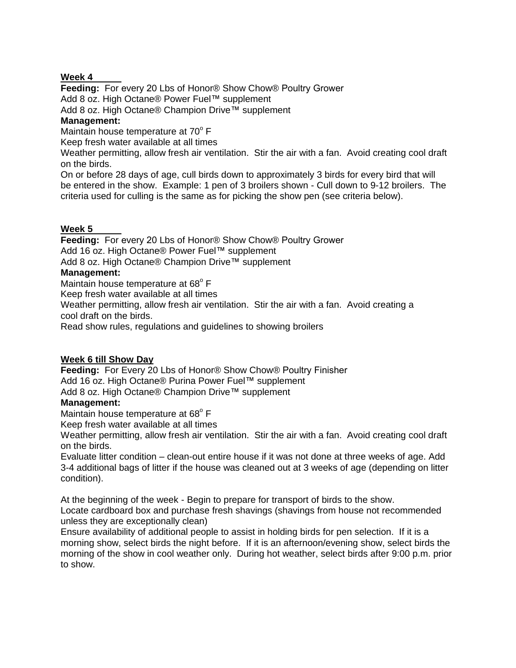### **Week 4**

**Feeding:** For every 20 Lbs of Honor® Show Chow® Poultry Grower Add 8 oz. High Octane® Power Fuel™ supplement Add 8 oz. High Octane® Champion Drive™ supplement **Management:** Maintain house temperature at 70° F Keep fresh water available at all times Weather permitting, allow fresh air ventilation. Stir the air with a fan. Avoid creating cool draft

on the birds. On or before 28 days of age, cull birds down to approximately 3 birds for every bird that will be entered in the show. Example: 1 pen of 3 broilers shown - Cull down to 9-12 broilers. The

criteria used for culling is the same as for picking the show pen (see criteria below).

### **Week 5**

**Feeding:** For every 20 Lbs of Honor® Show Chow® Poultry Grower Add 16 oz. High Octane® Power Fuel™ supplement Add 8 oz. High Octane® Champion Drive™ supplement

#### **Management:**

Maintain house temperature at 68 $^{\circ}$  F

Keep fresh water available at all times

Weather permitting, allow fresh air ventilation. Stir the air with a fan. Avoid creating a cool draft on the birds.

Read show rules, regulations and guidelines to showing broilers

### **Week 6 till Show Day**

**Feeding:** For Every 20 Lbs of Honor® Show Chow® Poultry Finisher Add 16 oz. High Octane® Purina Power Fuel™ supplement Add 8 oz. High Octane® Champion Drive™ supplement

# **Management:**

Maintain house temperature at 68 $^{\circ}$  F

Keep fresh water available at all times

Weather permitting, allow fresh air ventilation. Stir the air with a fan. Avoid creating cool draft on the birds.

Evaluate litter condition – clean-out entire house if it was not done at three weeks of age. Add 3-4 additional bags of litter if the house was cleaned out at 3 weeks of age (depending on litter condition).

At the beginning of the week - Begin to prepare for transport of birds to the show. Locate cardboard box and purchase fresh shavings (shavings from house not recommended unless they are exceptionally clean)

Ensure availability of additional people to assist in holding birds for pen selection. If it is a morning show, select birds the night before. If it is an afternoon/evening show, select birds the morning of the show in cool weather only. During hot weather, select birds after 9:00 p.m. prior to show.